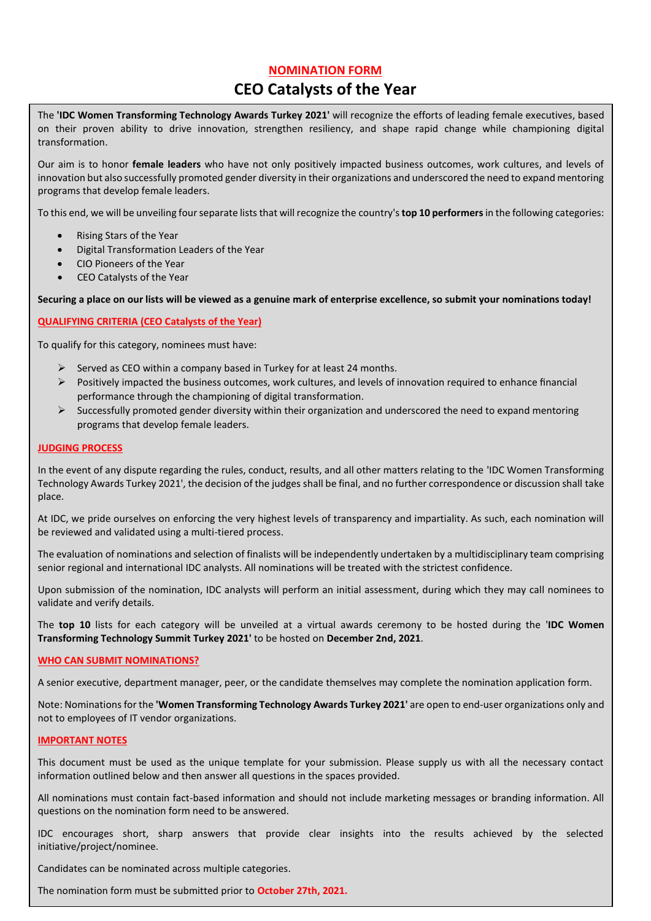# **NOMINATION FORM**

# **CEO Catalysts of the Year**

The **'IDC Women Transforming Technology Awards Turkey 2021'** will recognize the efforts of leading female executives, based on their proven ability to drive innovation, strengthen resiliency, and shape rapid change while championing digital transformation.

Our aim is to honor **female leaders** who have not only positively impacted business outcomes, work cultures, and levels of innovation but also successfully promoted gender diversity in their organizations and underscored the need to expand mentoring programs that develop female leaders.

To this end, we will be unveiling four separate lists that will recognize the country's**top 10 performers**in the following categories:

- Rising Stars of the Year
- Digital Transformation Leaders of the Year
- CIO Pioneers of the Year
- CEO Catalysts of the Year

#### **Securing a place on our lists will be viewed as a genuine mark of enterprise excellence, so submit your nominations today!**

# **QUALIFYING CRITERIA (CEO Catalysts of the Year)**

To qualify for this category, nominees must have:

- $\triangleright$  Served as CEO within a company based in Turkey for at least 24 months.
- $\triangleright$  Positively impacted the business outcomes, work cultures, and levels of innovation required to enhance financial performance through the championing of digital transformation.
- $\triangleright$  Successfully promoted gender diversity within their organization and underscored the need to expand mentoring programs that develop female leaders.

### **JUDGING PROCESS**

In the event of any dispute regarding the rules, conduct, results, and all other matters relating to the 'IDC Women Transforming Technology Awards Turkey 2021', the decision of the judges shall be final, and no further correspondence or discussion shall take place.

At IDC, we pride ourselves on enforcing the very highest levels of transparency and impartiality. As such, each nomination will be reviewed and validated using a multi-tiered process.

The evaluation of nominations and selection of finalists will be independently undertaken by a multidisciplinary team comprising senior regional and international IDC analysts. All nominations will be treated with the strictest confidence.

Upon submission of the nomination, IDC analysts will perform an initial assessment, during which they may call nominees to validate and verify details.

The **top 10** lists for each category will be unveiled at a virtual awards ceremony to be hosted during the '**IDC Women Transforming Technology Summit Turkey 2021'** to be hosted on **December 2nd, 2021**.

#### **WHO CAN SUBMIT NOMINATIONS?**

A senior executive, department manager, peer, or the candidate themselves may complete the nomination application form.

Note: Nominations for the **'Women Transforming Technology Awards Turkey 2021'** are open to end-user organizations only and not to employees of IT vendor organizations.

#### **IMPORTANT NOTES**

This document must be used as the unique template for your submission. Please supply us with all the necessary contact information outlined below and then answer all questions in the spaces provided.

All nominations must contain fact-based information and should not include marketing messages or branding information. All questions on the nomination form need to be answered.

IDC encourages short, sharp answers that provide clear insights into the results achieved by the selected initiative/project/nominee.

Candidates can be nominated across multiple categories.

The nomination form must be submitted prior to **October 27th, 2021.**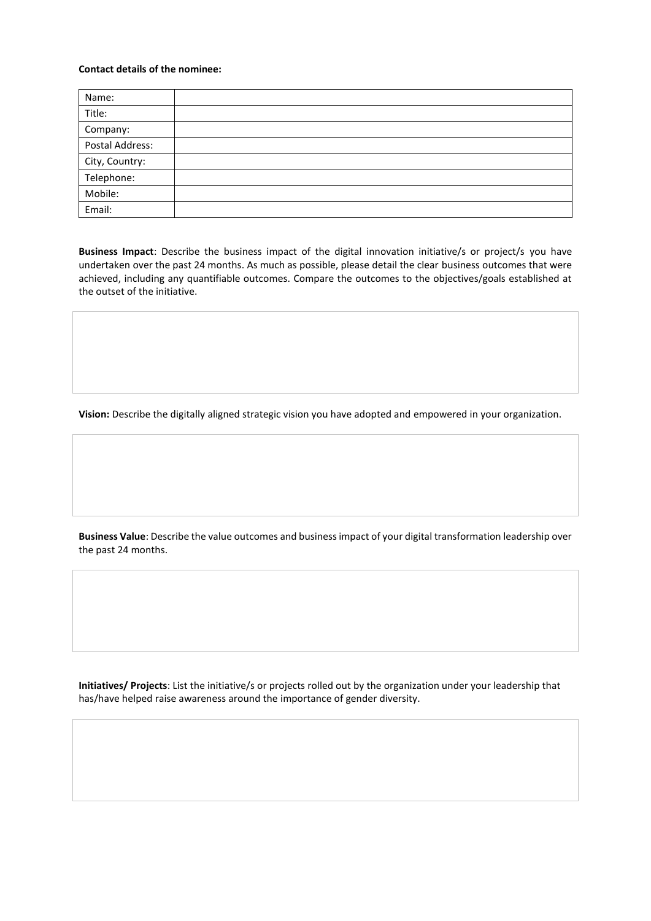# **Contact details of the nominee:**

| Name:           |  |
|-----------------|--|
| Title:          |  |
| Company:        |  |
| Postal Address: |  |
| City, Country:  |  |
| Telephone:      |  |
| Mobile:         |  |
| Email:          |  |

**Business Impact**: Describe the business impact of the digital innovation initiative/s or project/s you have undertaken over the past 24 months. As much as possible, please detail the clear business outcomes that were achieved, including any quantifiable outcomes. Compare the outcomes to the objectives/goals established at the outset of the initiative.

**Vision:** Describe the digitally aligned strategic vision you have adopted and empowered in your organization.

**Business Value**: Describe the value outcomes and business impact of your digital transformation leadership over the past 24 months.

**Initiatives/ Projects**: List the initiative/s or projects rolled out by the organization under your leadership that has/have helped raise awareness around the importance of gender diversity.